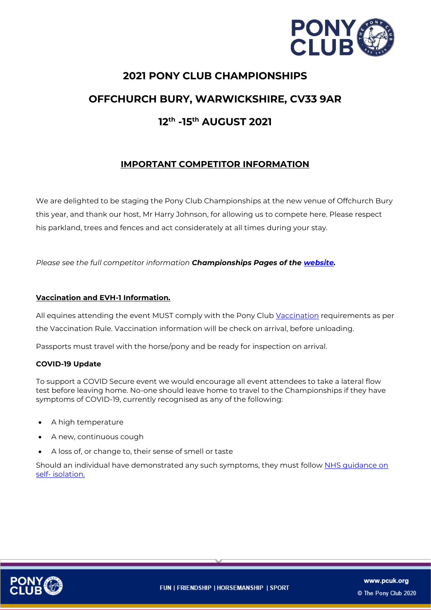

# **2021 PONY CLUB CHAMPIONSHIPS OFFCHURCH BURY, WARWICKSHIRE, CV33 9AR 12th -15th AUGUST 2021**

# **IMPORTANT COMPETITOR INFORMATION**

We are delighted to be staging the Pony Club Championships at the new venue of Offchurch Bury this year, and thank our host, Mr Harry Johnson, for allowing us to compete here. Please respect his parkland, trees and fences and act considerately at all times during your stay.

*Please see the full competitor information Championships Pages of the [website.](https://pages.pcuk.org/championships/)*

# **Vaccination and EVH-1 Information.**

All equines attending the event MUST comply with the Pony Club [Vaccination](https://pcuk.org/officials/rulebooks/) requirements as per the Vaccination Rule. Vaccination information will be check on arrival, before unloading.

Passports must travel with the horse/pony and be ready for inspection on arrival.

#### **COVID-19 Update**

To support a COVID Secure event we would encourage all event attendees to take a lateral flow test before leaving home. No-one should leave home to travel to the Championships if they have symptoms of COVID-19, currently recognised as any of the following:

- A high temperature
- A new, continuous cough
- A loss of, or change to, their sense of smell or taste

Should an individual have demonstrated any such symptoms, they must follow NHS quidance on self- [isolation.](https://www.nhs.uk/conditions/coronavirus-covid-19/symptoms/)

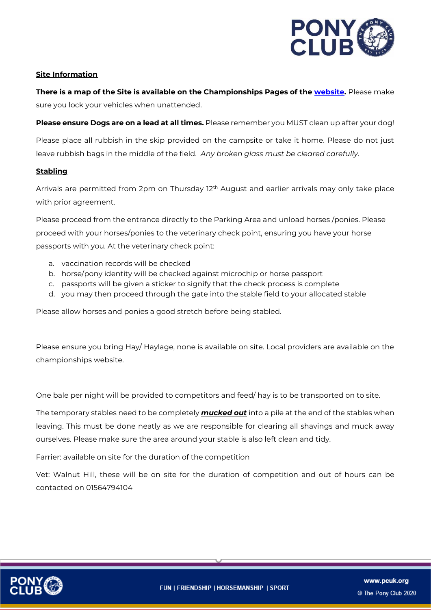

#### **Site Information**

**There is a map of the Site is available on the Championships Pages of the [website.](https://pages.pcuk.org/championships/)** Please make sure you lock your vehicles when unattended.

**Please ensure Dogs are on a lead at all times.** Please remember you MUST clean up after your dog!

Please place all rubbish in the skip provided on the campsite or take it home. Please do not just leave rubbish bags in the middle of the field. *Any broken glass must be cleared carefully.*

#### **Stabling**

Arrivals are permitted from 2pm on Thursday  $12<sup>th</sup>$  August and earlier arrivals may only take place with prior agreement.

Please proceed from the entrance directly to the Parking Area and unload horses /ponies. Please proceed with your horses/ponies to the veterinary check point, ensuring you have your horse passports with you. At the veterinary check point:

- a. vaccination records will be checked
- b. horse/pony identity will be checked against microchip or horse passport
- c. passports will be given a sticker to signify that the check process is complete
- d. you may then proceed through the gate into the stable field to your allocated stable

Please allow horses and ponies a good stretch before being stabled.

Please ensure you bring Hay/ Haylage, none is available on site. Local providers are available on the championships website.

One bale per night will be provided to competitors and feed/ hay is to be transported on to site.

The temporary stables need to be completely *mucked out* into a pile at the end of the stables when leaving. This must be done neatly as we are responsible for clearing all shavings and muck away ourselves. Please make sure the area around your stable is also left clean and tidy.

Farrier: available on site for the duration of the competition

Vet: Walnut Hill, these will be on site for the duration of competition and out of hours can be contacted on 01564794104

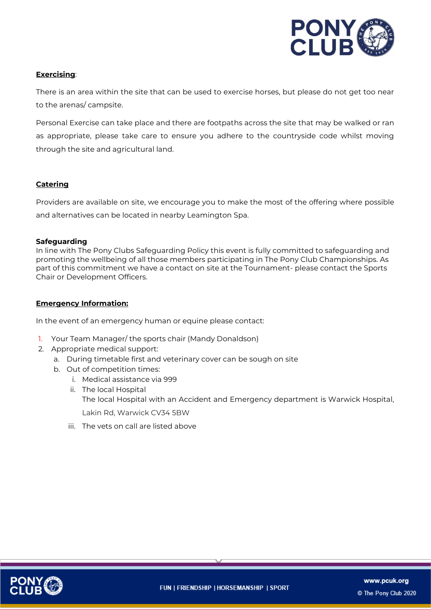

#### **Exercising**:

There is an area within the site that can be used to exercise horses, but please do not get too near to the arenas/ campsite.

Personal Exercise can take place and there are footpaths across the site that may be walked or ran as appropriate, please take care to ensure you adhere to the countryside code whilst moving through the site and agricultural land.

# **Catering**

Providers are available on site, we encourage you to make the most of the offering where possible and alternatives can be located in nearby Leamington Spa.

#### **Safeguarding**

In line with The Pony Clubs Safeguarding Policy this event is fully committed to safeguarding and promoting the wellbeing of all those members participating in The Pony Club Championships. As part of this commitment we have a contact on site at the Tournament- please contact the Sports Chair or Development Officers.

#### **Emergency Information:**

In the event of an emergency human or equine please contact:

- 1. Your Team Manager/ the sports chair (Mandy Donaldson)
- 2. Appropriate medical support:
	- a. During timetable first and veterinary cover can be sough on site
	- b. Out of competition times:
		- i. Medical assistance via 999
		- ii. The local Hospital The local Hospital with an Accident and Emergency department is Warwick Hospital, Lakin Rd, Warwick CV34 5BW
		- iii. The vets on call are listed above

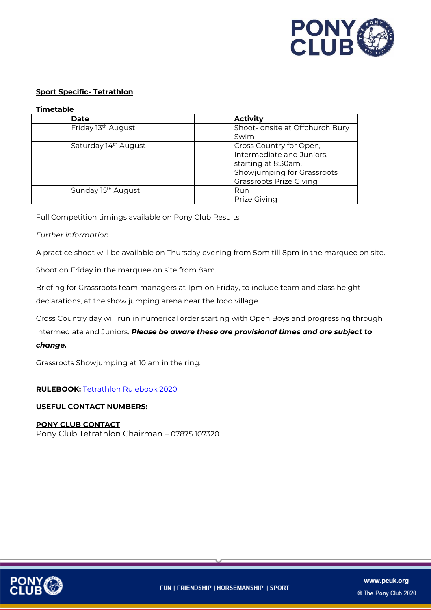

### **Sport Specific- Tetrathlon**

#### **Timetable**

| <b>Date</b>                      | <b>Activity</b>                 |
|----------------------------------|---------------------------------|
| Friday 13 <sup>th</sup> August   | Shoot- onsite at Offchurch Bury |
|                                  | Swim-                           |
| Saturday 14 <sup>th</sup> August | Cross Country for Open,         |
|                                  | Intermediate and Juniors,       |
|                                  | starting at 8:30am.             |
|                                  | Showjumping for Grassroots      |
|                                  | <b>Grassroots Prize Giving</b>  |
| Sunday 15 <sup>th</sup> August   | Run                             |
|                                  | <b>Prize Giving</b>             |

Full Competition timings available on Pony Club Results

#### *Further information*

A practice shoot will be available on Thursday evening from 5pm till 8pm in the marquee on site.

Shoot on Friday in the marquee on site from 8am.

Briefing for Grassroots team managers at 1pm on Friday, to include team and class height declarations, at the show jumping arena near the food village.

Cross Country day will run in numerical order starting with Open Boys and progressing through Intermediate and Juniors. *Please be aware these are provisional times and are subject to change.*

Grassroots Showjumping at 10 am in the ring.

# **RULEBOOK:** [Tetrathlon Rulebook 2020](https://pcuk.org/officials/rulebooks/)

#### **USEFUL CONTACT NUMBERS:**

#### **PONY CLUB CONTACT**

Pony Club Tetrathlon Chairman – 07875 107320